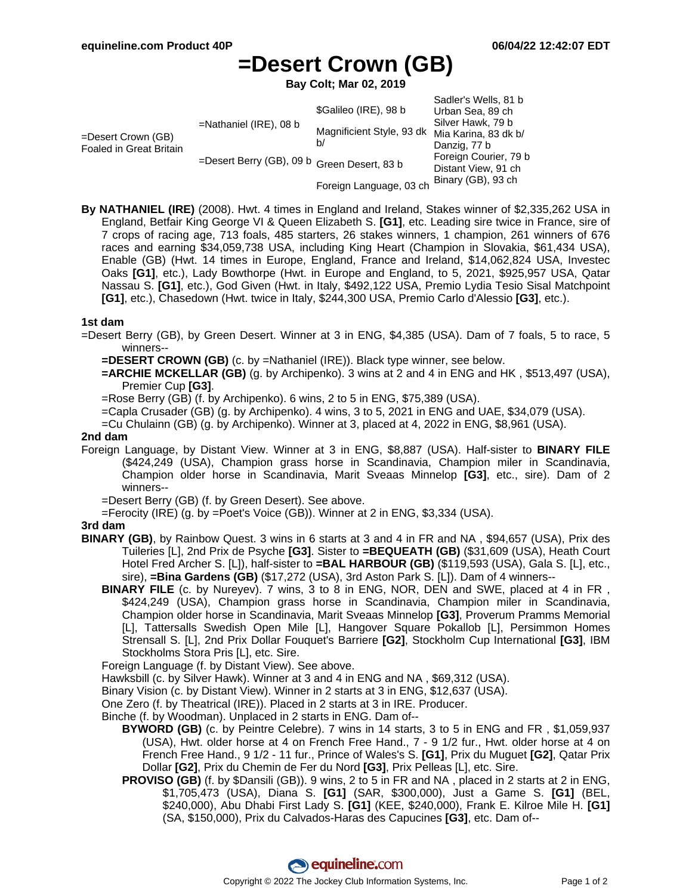Sadler's Wells, 81 b

# **=Desert Crown (GB)**

**Bay Colt; Mar 02, 2019**

|                                               |                                             | \$Galileo (IRE), 98 b     | Saulei S Wells. O I D<br>Urban Sea, 89 ch    |
|-----------------------------------------------|---------------------------------------------|---------------------------|----------------------------------------------|
| =Desert Crown (GB)<br>Foaled in Great Britain | $=$ Nathaniel (IRE), 08 b                   |                           | Silver Hawk, 79 b                            |
|                                               |                                             | Magnificient Style, 93 dk | Mia Karina, 83 dk b/                         |
|                                               |                                             | b/                        | Danzig, 77 b                                 |
|                                               | =Desert Berry (GB), 09 b Green Desert, 83 b |                           | Foreign Courier, 79 b<br>Distant View, 91 ch |
|                                               |                                             | Foreign Language, 03 ch   | Binary (GB), 93 ch                           |

**By NATHANIEL (IRE)** (2008). Hwt. 4 times in England and Ireland, Stakes winner of \$2,335,262 USA in England, Betfair King George VI & Queen Elizabeth S. **[G1]**, etc. Leading sire twice in France, sire of 7 crops of racing age, 713 foals, 485 starters, 26 stakes winners, 1 champion, 261 winners of 676 races and earning \$34,059,738 USA, including King Heart (Champion in Slovakia, \$61,434 USA), Enable (GB) (Hwt. 14 times in Europe, England, France and Ireland, \$14,062,824 USA, Investec Oaks **[G1]**, etc.), Lady Bowthorpe (Hwt. in Europe and England, to 5, 2021, \$925,957 USA, Qatar Nassau S. **[G1]**, etc.), God Given (Hwt. in Italy, \$492,122 USA, Premio Lydia Tesio Sisal Matchpoint **[G1]**, etc.), Chasedown (Hwt. twice in Italy, \$244,300 USA, Premio Carlo d'Alessio **[G3]**, etc.).

### **1st dam**

=Desert Berry (GB), by Green Desert. Winner at 3 in ENG, \$4,385 (USA). Dam of 7 foals, 5 to race, 5 winners--

**=DESERT CROWN (GB)** (c. by =Nathaniel (IRE)). Black type winner, see below.

**=ARCHIE MCKELLAR (GB)** (g. by Archipenko). 3 wins at 2 and 4 in ENG and HK , \$513,497 (USA), Premier Cup **[G3]**.

=Rose Berry (GB) (f. by Archipenko). 6 wins, 2 to 5 in ENG, \$75,389 (USA).

=Capla Crusader (GB) (g. by Archipenko). 4 wins, 3 to 5, 2021 in ENG and UAE, \$34,079 (USA).

=Cu Chulainn (GB) (g. by Archipenko). Winner at 3, placed at 4, 2022 in ENG, \$8,961 (USA).

#### **2nd dam**

Foreign Language, by Distant View. Winner at 3 in ENG, \$8,887 (USA). Half-sister to **BINARY FILE** (\$424,249 (USA), Champion grass horse in Scandinavia, Champion miler in Scandinavia, Champion older horse in Scandinavia, Marit Sveaas Minnelop **[G3]**, etc., sire). Dam of 2 winners--

=Desert Berry (GB) (f. by Green Desert). See above.

=Ferocity (IRE) (g. by =Poet's Voice (GB)). Winner at 2 in ENG, \$3,334 (USA).

### **3rd dam**

- **BINARY (GB)**, by Rainbow Quest. 3 wins in 6 starts at 3 and 4 in FR and NA , \$94,657 (USA), Prix des Tuileries [L], 2nd Prix de Psyche **[G3]**. Sister to **=BEQUEATH (GB)** (\$31,609 (USA), Heath Court Hotel Fred Archer S. [L]), half-sister to **=BAL HARBOUR (GB)** (\$119,593 (USA), Gala S. [L], etc., sire), **=Bina Gardens (GB)** (\$17,272 (USA), 3rd Aston Park S. [L]). Dam of 4 winners--
	- **BINARY FILE** (c. by Nureyev). 7 wins, 3 to 8 in ENG, NOR, DEN and SWE, placed at 4 in FR , \$424,249 (USA), Champion grass horse in Scandinavia, Champion miler in Scandinavia, Champion older horse in Scandinavia, Marit Sveaas Minnelop **[G3]**, Proverum Pramms Memorial [L], Tattersalls Swedish Open Mile [L], Hangover Square Pokallob [L], Persimmon Homes Strensall S. [L], 2nd Prix Dollar Fouquet's Barriere **[G2]**, Stockholm Cup International **[G3]**, IBM Stockholms Stora Pris [L], etc. Sire.

Foreign Language (f. by Distant View). See above.

Hawksbill (c. by Silver Hawk). Winner at 3 and 4 in ENG and NA , \$69,312 (USA).

Binary Vision (c. by Distant View). Winner in 2 starts at 3 in ENG, \$12,637 (USA).

One Zero (f. by Theatrical (IRE)). Placed in 2 starts at 3 in IRE. Producer.

Binche (f. by Woodman). Unplaced in 2 starts in ENG. Dam of--

- **BYWORD (GB)** (c. by Peintre Celebre). 7 wins in 14 starts, 3 to 5 in ENG and FR , \$1,059,937 (USA), Hwt. older horse at 4 on French Free Hand., 7 - 9 1/2 fur., Hwt. older horse at 4 on French Free Hand., 9 1/2 - 11 fur., Prince of Wales's S. **[G1]**, Prix du Muguet **[G2]**, Qatar Prix Dollar **[G2]**, Prix du Chemin de Fer du Nord **[G3]**, Prix Pelleas [L], etc. Sire.
- **PROVISO (GB)** (f. by \$Dansili (GB)). 9 wins, 2 to 5 in FR and NA , placed in 2 starts at 2 in ENG, \$1,705,473 (USA), Diana S. **[G1]** (SAR, \$300,000), Just a Game S. **[G1]** (BEL, \$240,000), Abu Dhabi First Lady S. **[G1]** (KEE, \$240,000), Frank E. Kilroe Mile H. **[G1]** (SA, \$150,000), Prix du Calvados-Haras des Capucines **[G3]**, etc. Dam of--